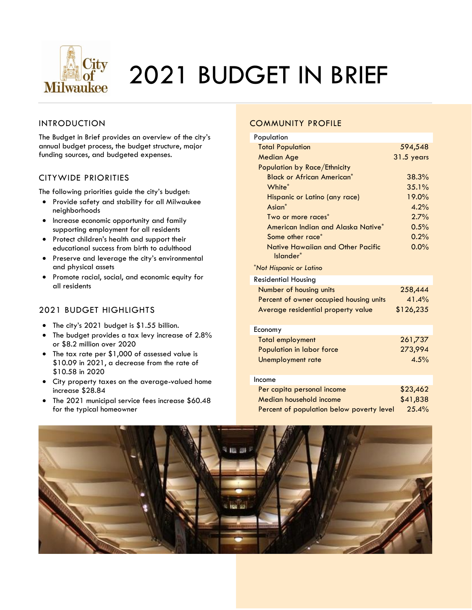

# 2021 BUDGET IN BRIEF

#### INTRODUCTION

The Budget in Brief provides an overview of the city's annual budget process, the budget structure, major funding sources, and budgeted expenses.

#### CITYWIDE PRIORITIES

The following priorities guide the city's budget:

- Provide safety and stability for all Milwaukee neighborhoods
- Increase economic opportunity and family supporting employment for all residents
- Protect children's health and support their educational success from birth to adulthood
- Preserve and leverage the city's environmental and physical assets
- Promote racial, social, and economic equity for all residents

#### 2021 BUDGET HIGHLIGHTS

- The city's 2021 budget is \$1.55 billion.
- The budget provides a tax levy increase of 2.8% or \$8.2 million over 2020
- The tax rate per \$1,000 of assessed value is \$10.09 in 2021, a decrease from the rate of \$10.58 in 2020
- City property taxes on the average-valued home increase \$28.84
- The 2021 municipal service fees increase \$60.48 for the typical homeowner

#### COMMUNITY PROFILE

| Population                                            |                   |
|-------------------------------------------------------|-------------------|
| <b>Total Population</b>                               | 594,548           |
| <b>Median Age</b>                                     | 31.5 years        |
| Population by Race/Ethnicity                          |                   |
| <b>Black or African American*</b>                     | 38.3%             |
| White*                                                | 35.1%             |
| Hispanic or Latino (any race)                         | 19.0%             |
| $\textsf{Asim}^*$                                     | 4.2%              |
| Two or more races*                                    | 2.7%              |
| American Indian and Alaska Native*                    | 0.5%              |
| Some other race*                                      | 0.2%              |
| Native Hawaiian and Other Pacific<br>Islander*        | $0.0\%$           |
| *Not Hispanic or Latino                               |                   |
| <b>Residential Housing</b>                            |                   |
| Number of housing units                               | 258,444           |
| Percent of owner occupied housing units               | 41.4%             |
| Average residential property value                    | \$126,235         |
| Economy                                               |                   |
| <b>Total employment</b>                               | 261,737           |
| Population in labor force                             | 273,994           |
| Unemployment rate                                     | 4.5%              |
| Income                                                |                   |
|                                                       |                   |
| Per capita personal income<br>Median household income | \$23,462          |
|                                                       | \$41,838<br>25.4% |
| Percent of population below poverty level             |                   |

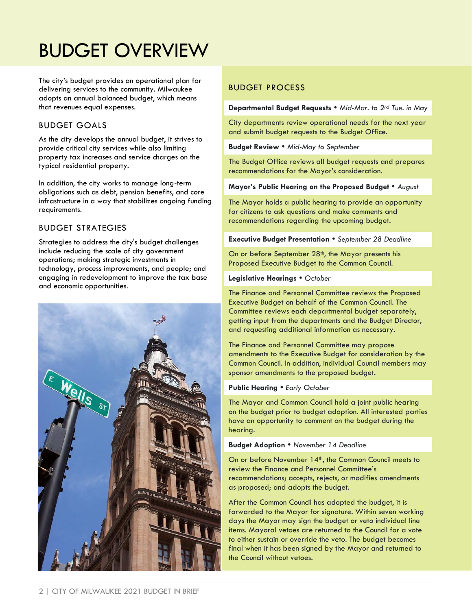## BUDGET OVERVIEW

The city's budget provides an operational plan for delivering services to the community. Milwaukee adopts an annual balanced budget, which means that revenues equal expenses.

#### BUDGET GOALS

As the city develops the annual budget, it strives to provide critical city services while also limiting property tax increases and service charges on the typical residential property.

In addition, the city works to manage long-term obligations such as debt, pension benefits, and core infrastructure in a way that stabilizes ongoing funding requirements.

#### BUDGET STRATEGIES

Strategies to address the city's budget challenges include reducing the scale of city government operations; making strategic investments in technology, process improvements, and people; and engaging in redevelopment to improve the tax base and economic opportunities.



#### BUDGET PROCESS

**Departmental Budget Requests** *Mid-Mar. to 2nd Tue. in May*

City departments review operational needs for the next year and submit budget requests to the Budget Office.

**Budget Review** *Mid-May to September*

The Budget Office reviews all budget requests and prepares recommendations for the Mayor's consideration.

**Mayor's Public Hearing on the Proposed Budget** *August*

The Mayor holds a public hearing to provide an opportunity for citizens to ask questions and make comments and recommendations regarding the upcoming budget.

**Executive Budget Presentation**  *September 28 Deadline*

On or before September 28<sup>th</sup>, the Mayor presents his Proposed Executive Budget to the Common Council.

#### **Legislative Hearings**  *October*

The Finance and Personnel Committee reviews the Proposed Executive Budget on behalf of the Common Council. The Committee reviews each departmental budget separately, getting input from the departments and the Budget Director, and requesting additional information as necessary.

The Finance and Personnel Committee may propose amendments to the Executive Budget for consideration by the Common Council. In addition, individual Council members may sponsor amendments to the proposed budget.

#### **Public Hearing • Early October**

The Mayor and Common Council hold a joint public hearing on the budget prior to budget adoption. All interested parties have an opportunity to comment on the budget during the hearing.

#### **Budget Adoption** *November 14 Deadline*

On or before November 14<sup>th</sup>, the Common Council meets to review the Finance and Personnel Committee's recommendations; accepts, rejects, or modifies amendments as proposed; and adopts the budget.

After the Common Council has adopted the budget, it is forwarded to the Mayor for signature. Within seven working days the Mayor may sign the budget or veto individual line items. Mayoral vetoes are returned to the Council for a vote to either sustain or override the veto. The budget becomes final when it has been signed by the Mayor and returned to the Council without vetoes.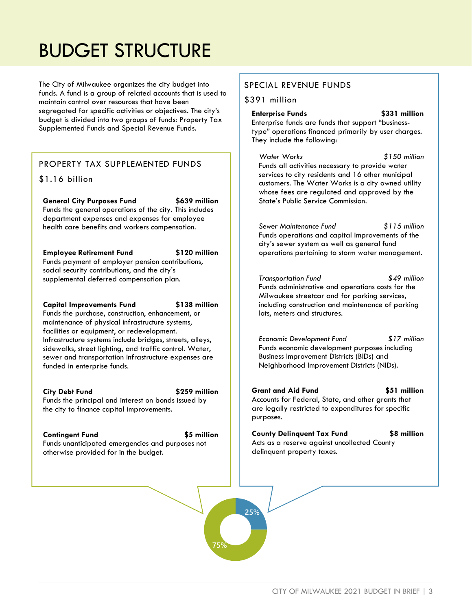## BUDGET STRUCTURE

The City of Milwaukee organizes the city budget into funds. A fund is a group of related accounts that is used to maintain control over resources that have been segregated for specific activities or objectives. The city's budget is divided into two groups of funds: Property Tax Supplemented Funds and Special Revenue Funds.

#### PROPERTY TAX SUPPLEMENTED FUNDS

#### \$1.16 billion

**General City Purposes Fund \$639 million** Funds the general operations of the city. This includes department expenses and expenses for employee health care benefits and workers compensation.

#### **Employee Retirement Fund \$120 million**

Funds payment of employer pension contributions, social security contributions, and the city's supplemental deferred compensation plan.

#### **Capital Improvements Fund \$138 million**

Funds the purchase, construction, enhancement, or maintenance of physical infrastructure systems, facilities or equipment, or redevelopment. Infrastructure systems include bridges, streets, alleys, sidewalks, street lighting, and traffic control. Water, sewer and transportation infrastructure expenses are funded in enterprise funds.

#### **City Debt Fund \$259 million**

**25%**

**75%**

Funds the principal and interest on bonds issued by the city to finance capital improvements.

#### **Contingent Fund \$5 million**

Funds unanticipated emergencies and purposes not otherwise provided for in the budget.

#### SPECIAL REVENUE FUNDS

#### \$391 million

**Enterprise Funds \$331 million** Enterprise funds are funds that support "businesstype" operations financed primarily by user charges. They include the following:

*Water Works \$150 million* Funds all activities necessary to provide water services to city residents and 16 other municipal customers. The Water Works is a city owned utility whose fees are regulated and approved by the State's Public Service Commission.

*Sewer Maintenance Fund \$115 million* Funds operations and capital improvements of the city's sewer system as well as general fund operations pertaining to storm water management.

*Transportation Fund \$49 million* Funds administrative and operations costs for the Milwaukee streetcar and for parking services, including construction and maintenance of parking lots, meters and structures.

*Economic Development Fund \$17 million* Funds economic development purposes including Business Improvement Districts (BIDs) and Neighborhood Improvement Districts (NIDs).

**Grant and Aid Fund \$51 million** Accounts for Federal, State, and other grants that are legally restricted to expenditures for specific purposes.

**County Delinquent Tax Fund \$8 million** Acts as a reserve against uncollected County delinquent property taxes.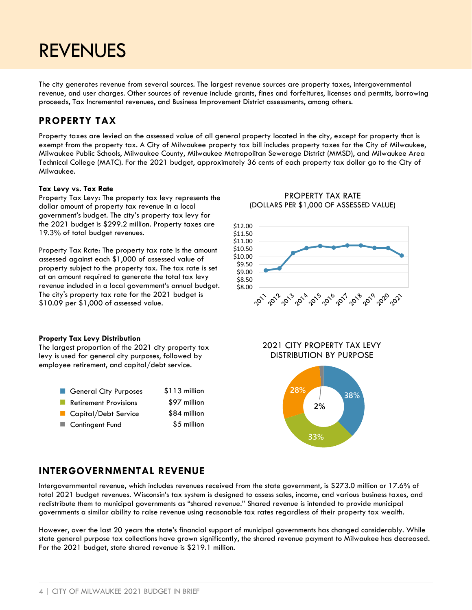### REVENUES

The city generates revenue from several sources. The largest revenue sources are property taxes, intergovernmental revenue, and user charges. Other sources of revenue include grants, fines and forfeitures, licenses and permits, borrowing proceeds, Tax Incremental revenues, and Business Improvement District assessments, among others.

### **PROPERTY TAX**

Property taxes are levied on the assessed value of all general property located in the city, except for property that is exempt from the property tax. A City of Milwaukee property tax bill includes property taxes for the City of Milwaukee, Milwaukee Public Schools, Milwaukee County, Milwaukee Metropolitan Sewerage District (MMSD), and Milwaukee Area Technical College (MATC). For the 2021 budget, approximately 36 cents of each property tax dollar go to the City of Milwaukee.

#### **Tax Levy vs. Tax Rate**

Property Tax Levy: The property tax levy represents the dollar amount of property tax revenue in a local government's budget. The city's property tax levy for the 2021 budget is \$299.2 million. Property taxes are 19.3% of total budget revenues.

Property Tax Rate: The property tax rate is the amount assessed against each \$1,000 of assessed value of property subject to the property tax. The tax rate is set at an amount required to generate the total tax levy revenue included in a local government's annual budget. The city's property tax rate for the 2021 budget is \$10.09 per \$1,000 of assessed value.

#### PROPERTY TAX RATE (DOLLARS PER \$1,000 OF ASSESSED VALUE)



#### **Property Tax Levy Distribution**

The largest proportion of the 2021 city property tax levy is used for general city purposes, followed by employee retirement, and capital/debt service.

| General City Purposes        | \$113 million |
|------------------------------|---------------|
| <b>Retirement Provisions</b> | \$97 million  |
| Capital/Debt Service         | \$84 million  |
| ■ Contingent Fund            | \$5 million   |

2021 CITY PROPERTY TAX LEVY DISTRIBUTION BY PURPOSE



#### **INTERGOVERNMENTAL REVENUE**

Intergovernmental revenue, which includes revenues received from the state government, is \$273.0 million or 17.6% of total 2021 budget revenues. Wisconsin's tax system is designed to assess sales, income, and various business taxes, and redistribute them to municipal governments as "shared revenue." Shared revenue is intended to provide municipal governments a similar ability to raise revenue using reasonable tax rates regardless of their property tax wealth.

However, over the last 20 years the state's financial support of municipal governments has changed considerably. While state general purpose tax collections have grown significantly, the shared revenue payment to Milwaukee has decreased. For the 2021 budget, state shared revenue is \$219.1 million.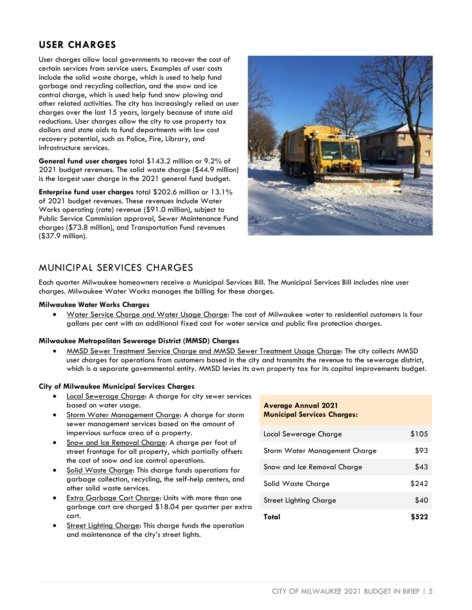### **USER CHARGES**

User charges allow local governments to recover the cost of certain services from service users. Examples of user costs include the solid waste charge, which is used to help fund garbage and recycling collection, and the snow and ice control charge, which is used help fund snow plowing and other related activities. The city has increasingly relied on user charges over the last 15 years, largely because of state aid reductions. User charges allow the city to use property tax dollars and state aids to fund departments with low cost recovery potential, such as Police, Fire, Library, and infrastructure services.

**General fund user charges** total \$143.2 million or 9.2% of 2021 budget revenues. The solid waste charge (\$44.9 million) is the largest user charge in the 2021 general fund budget.

**Enterprise fund user charges** total \$202.6 million or 13.1% of 2021 budget revenues. These revenues include Water Works operating (rate) revenue (\$91.0 million), subject to Public Service Commission approval, Sewer Maintenance Fund charges (\$73.8 million), and Transportation Fund revenues (\$37.9 million).



### MUNICIPAL SERVICES CHARGES

Each quarter Milwaukee homeowners receive a Municipal Services Bill. The Municipal Services Bill includes nine user charges. Milwaukee Water Works manages the billing for these charges.

#### **Milwaukee Water Works Charges**

• Water Service Charge and Water Usage Charge: The cost of Milwaukee water to residential customers is four gallons per cent with an additional fixed cost for water service and public fire protection charges.

#### **Milwaukee Metropolitan Sewerage District (MMSD) Charges**

• MMSD Sewer Treatment Service Charge and MMSD Sewer Treatment Usage Charge: The city collects MMSD user charges for operations from customers based in the city and transmits the revenue to the sewerage district, which is a separate governmental entity. MMSD levies its own property tax for its capital improvements budget.

#### **City of Milwaukee Municipal Services Charges**

- Local Sewerage Charge: A charge for city sewer services based on water usage.
- Storm Water Management Charge: A charge for storm sewer management services based on the amount of impervious surface area of a property.
- Snow and Ice Removal Charge: A charge per foot of street frontage for all property, which partially offsets the cost of snow and ice control operations.
- Solid Waste Charge: This charge funds operations for garbage collection, recycling, the self-help centers, and other solid waste services.
- Extra Garbage Cart Charge: Units with more than one garbage cart are charged \$18.04 per quarter per extra cart.
- Street Lighting Charge: This charge funds the operation and maintenance of the city's street lights.

#### **Average Annual 2021 Municipal Services Charges:**

| Local Sewerage Charge         | \$105 |
|-------------------------------|-------|
| Storm Water Management Charge | \$93  |
| Snow and Ice Removal Charge   | \$43  |
| Solid Waste Charge            | \$242 |
| Street Lighting Charge        | \$40  |
| Total                         | \$522 |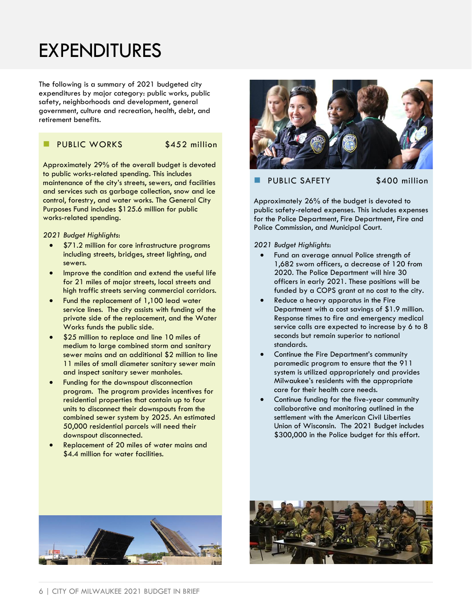### EXPENDITURES

The following is a summary of 2021 budgeted city expenditures by major category: public works, public safety, neighborhoods and development, general government, culture and recreation, health, debt, and retirement benefits.

#### PUBLIC WORKS \$452 million

Approximately 29% of the overall budget is devoted to public works-related spending. This includes maintenance of the city's streets, sewers, and facilities and services such as garbage collection, snow and ice control, forestry, and water works. The General City Purposes Fund includes \$125.6 million for public works-related spending.

*2021 Budget Highlights*:

- \$71.2 million for core infrastructure programs including streets, bridges, street lighting, and sewers.
- Improve the condition and extend the useful life for 21 miles of major streets, local streets and high traffic streets serving commercial corridors.
- Fund the replacement of 1,100 lead water service lines. The city assists with funding of the private side of the replacement, and the Water Works funds the public side.
- \$25 million to replace and line 10 miles of medium to large combined storm and sanitary sewer mains and an additional \$2 million to line 11 miles of small diameter sanitary sewer main and inspect sanitary sewer manholes.
- Funding for the downspout disconnection program. The program provides incentives for residential properties that contain up to four units to disconnect their downspouts from the combined sewer system by 2025. An estimated 50,000 residential parcels will need their downspout disconnected.
- Replacement of 20 miles of water mains and \$4.4 million for water facilities.



#### PUBLIC SAFETY \$400 million

Approximately 26% of the budget is devoted to public safety-related expenses. This includes expenses for the Police Department, Fire Department, Fire and Police Commission, and Municipal Court.

*2021 Budget Highlights*:

- Fund an average annual Police strength of 1,682 sworn officers, a decrease of 120 from 2020. The Police Department will hire 30 officers in early 2021. These positions will be funded by a COPS grant at no cost to the city.
- Reduce a heavy apparatus in the Fire Department with a cost savings of \$1.9 million. Response times to fire and emergency medical service calls are expected to increase by 6 to 8 seconds but remain superior to national standards.
- Continue the Fire Department's community paramedic program to ensure that the 911 system is utilized appropriately and provides Milwaukee's residents with the appropriate care for their health care needs.
- Continue funding for the five-year community collaborative and monitoring outlined in the settlement with the American Civil Liberties Union of Wisconsin. The 2021 Budget includes \$300,000 in the Police budget for this effort.



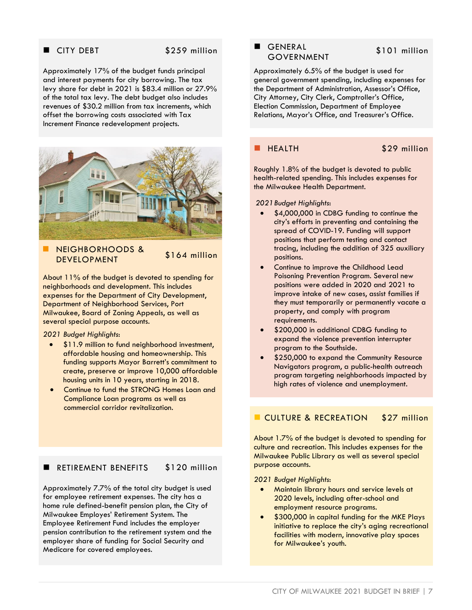#### ■ CITY DEBT \$259 million

Approximately 17% of the budget funds principal and interest payments for city borrowing. The tax levy share for debt in 2021 is \$83.4 million or 27.9% of the total tax levy. The debt budget also includes revenues of \$30.2 million from tax increments, which offset the borrowing costs associated with Tax Increment Finance redevelopment projects.



◼ NEIGHBORHOODS & NEIOIIDOKIIOODS & \$164 million

About 11% of the budget is devoted to spending for neighborhoods and development. This includes expenses for the Department of City Development, Department of Neighborhood Services, Port Milwaukee, Board of Zoning Appeals, as well as several special purpose accounts.

*2021 Budget Highlights*:

- \$11.9 million to fund neighborhood investment, affordable housing and homeownership. This funding supports Mayor Barrett's commitment to create, preserve or improve 10,000 affordable housing units in 10 years, starting in 2018.
- Continue to fund the STRONG Homes Loan and Compliance Loan programs as well as commercial corridor revitalization.

#### ■ RETIREMENT BENEFITS \$120 million

Approximately 7.7% of the total city budget is used for employee retirement expenses. The city has a home rule defined-benefit pension plan, the City of Milwaukee Employes' Retirement System. The Employee Retirement Fund includes the employer pension contribution to the retirement system and the employer share of funding for Social Security and Medicare for covered employees.

#### ■ GENERAL GOVERNMENT

#### \$101 million

Approximately 6.5% of the budget is used for general government spending, including expenses for the Department of Administration, Assessor's Office, City Attorney, City Clerk, Comptroller's Office, Election Commission, Department of Employee Relations, Mayor's Office, and Treasurer's Office.

#### **HEALTH** \$29 million

Roughly 1.8% of the budget is devoted to public health-related spending. This includes expenses for the Milwaukee Health Department.

*2021Budget Highlights*:

- \$4,000,000 in CDBG funding to continue the city's efforts in preventing and containing the spread of COVID-19. Funding will support positions that perform testing and contact tracing, including the addition of 325 auxiliary positions.
- Continue to improve the Childhood Lead Poisoning Prevention Program. Several new positions were added in 2020 and 2021 to improve intake of new cases, assist families if they must temporarily or permanently vacate a property, and comply with program requirements.
- \$200,000 in additional CDBG funding to expand the violence prevention interrupter program to the Southside.
- \$250,000 to expand the Community Resource Navigators program, a public-health outreach program targeting neighborhoods impacted by high rates of violence and unemployment.

#### **E** CULTURE & RECREATION \$27 million

About 1.7% of the budget is devoted to spending for culture and recreation. This includes expenses for the Milwaukee Public Library as well as several special purpose accounts.

#### *2021 Budget Highlights*:

- Maintain library hours and service levels at 2020 levels, including after-school and employment resource programs.
- \$300,000 in capital funding for the MKE Plays initiative to replace the city's aging recreational facilities with modern, innovative play spaces for Milwaukee's youth.